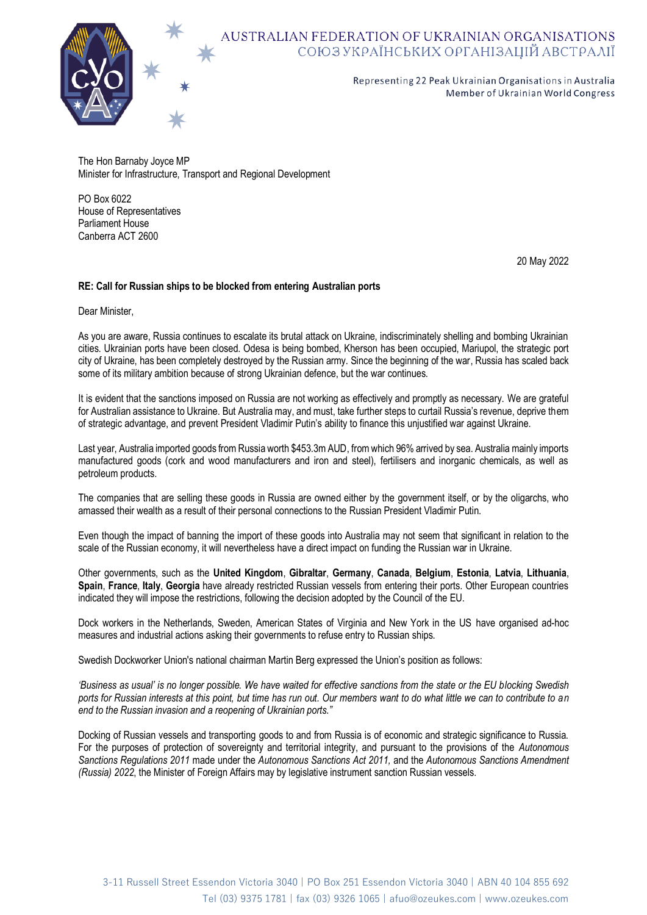

## AUSTRALIAN FEDERATION OF UKRAINIAN ORGANISATIONS<br>COЮЗ УКРАЇНСЬКИХ ОРГАНІЗАЦІЙ АВСТРАЛІЇ

Representing 22 Peak Ukrainian Organisations in Australia Member of Ukrainian World Congress

The Hon Barnaby Joyce MP Minister for Infrastructure, Transport and Regional Development

PO Box 6022 House of Representatives Parliament House Canberra ACT 2600

20 May 2022

## **RE: Call for Russian ships to be blocked from entering Australian ports**

Dear Minister,

As you are aware, Russia continues to escalate its brutal attack on Ukraine, indiscriminately shelling and bombing Ukrainian cities. Ukrainian ports have been closed. Odesa is being bombed, Kherson has been occupied, Mariupol, the strategic port city of Ukraine, has been completely destroyed by the Russian army. Since the beginning of the war, Russia has scaled back some of its military ambition because of strong Ukrainian defence, but the war continues.

It is evident that the sanctions imposed on Russia are not working as effectively and promptly as necessary. We are grateful for Australian assistance to Ukraine. But Australia may, and must, take further steps to curtail Russia's revenue, deprive them of strategic advantage, and prevent President Vladimir Putin's ability to finance this unjustified war against Ukraine.

Last year, Australia imported goods from Russia worth \$453.3m AUD, from which 96% arrived by sea. Australia mainly imports manufactured goods (cork and wood manufacturers and iron and steel), fertilisers and inorganic chemicals, as well as petroleum products.

The companies that are selling these goods in Russia are owned either by the government itself, or by the oligarchs, who amassed their wealth as a result of their personal connections to the Russian President Vladimir Putin.

Even though the impact of banning the import of these goods into Australia may not seem that significant in relation to the scale of the Russian economy, it will nevertheless have a direct impact on funding the Russian war in Ukraine.

Other governments, such as the **United Kingdom**, **Gibraltar**, **Germany**, **Canada**, **Belgium**, **Estonia**, **Latvia**, **Lithuania**, **Spain**, **France**, **Italy**, **Georgia** have already restricted Russian vessels from entering their ports. Other European countries indicated they will impose the restrictions, following the decision adopted by the Council of the EU.

Dock workers in the Netherlands, Sweden, American States of Virginia and New York in the US have organised ad-hoc measures and industrial actions asking their governments to refuse entry to Russian ships.

Swedish Dockworker Union's national chairman Martin Berg expressed the Union's position as follows:

*'Business as usual' is no longer possible. We have waited for effective sanctions from the state or the EU blocking Swedish ports for Russian interests at this point, but time has run out. Our members want to do what little we can to contribute to an end to the Russian invasion and a reopening of Ukrainian ports."*

Docking of Russian vessels and transporting goods to and from Russia is of economic and strategic significance to Russia. For the purposes of protection of sovereignty and territorial integrity, and pursuant to the provisions of the *Autonomous Sanctions Regulations 2011* made under the *Autonomous Sanctions Act 2011,* and the *Autonomous Sanctions Amendment (Russia) 2022*, the Minister of Foreign Affairs may by legislative instrument sanction Russian vessels.